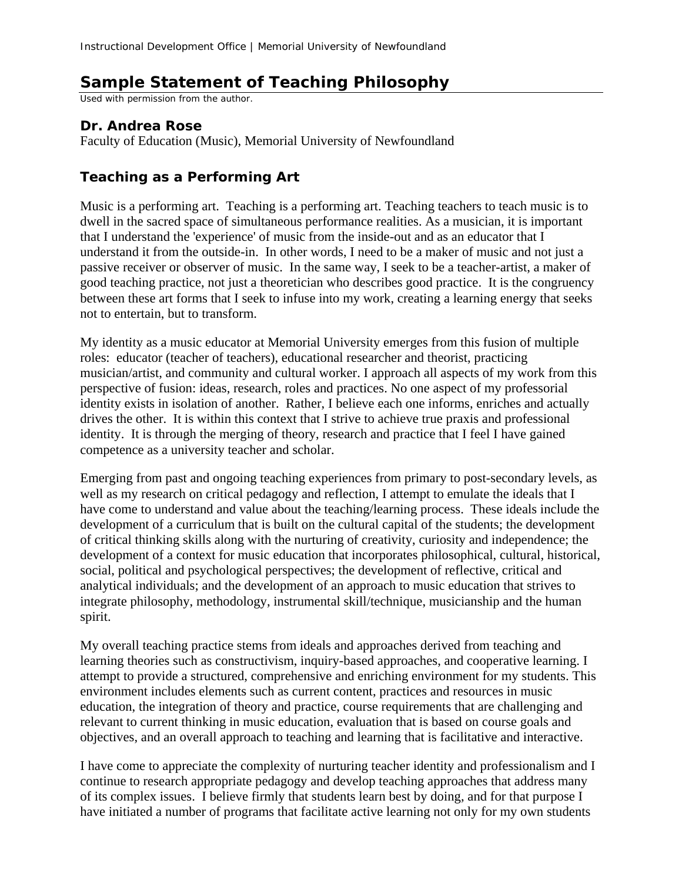## **Sample Statement of Teaching Philosophy**

Used with permission from the author.

## **Dr. Andrea Rose**

Faculty of Education (Music), Memorial University of Newfoundland

## **Teaching as a Performing Art**

Music is a performing art. Teaching is a performing art. Teaching teachers to teach music is to dwell in the sacred space of simultaneous performance realities. As a musician, it is important that I understand the 'experience' of music from the inside-out and as an educator that I understand it from the outside-in. In other words, I need to be a maker of music and not just a passive receiver or observer of music. In the same way, I seek to be a teacher-artist, a maker of good teaching practice, not just a theoretician who describes good practice. It is the congruency between these art forms that I seek to infuse into my work, creating a learning energy that seeks not to entertain, but to transform.

My identity as a music educator at Memorial University emerges from this fusion of multiple roles: educator (teacher of teachers), educational researcher and theorist, practicing musician/artist, and community and cultural worker. I approach all aspects of my work from this perspective of fusion: ideas, research, roles and practices. No one aspect of my professorial identity exists in isolation of another. Rather, I believe each one informs, enriches and actually drives the other. It is within this context that I strive to achieve true praxis and professional identity. It is through the merging of theory, research and practice that I feel I have gained competence as a university teacher and scholar.

Emerging from past and ongoing teaching experiences from primary to post-secondary levels, as well as my research on critical pedagogy and reflection, I attempt to emulate the ideals that I have come to understand and value about the teaching/learning process. These ideals include the development of a curriculum that is built on the cultural capital of the students; the development of critical thinking skills along with the nurturing of creativity, curiosity and independence; the development of a context for music education that incorporates philosophical, cultural, historical, social, political and psychological perspectives; the development of reflective, critical and analytical individuals; and the development of an approach to music education that strives to integrate philosophy, methodology, instrumental skill/technique, musicianship and the human spirit.

My overall teaching practice stems from ideals and approaches derived from teaching and learning theories such as constructivism, inquiry-based approaches, and cooperative learning. I attempt to provide a structured, comprehensive and enriching environment for my students. This environment includes elements such as current content, practices and resources in music education, the integration of theory and practice, course requirements that are challenging and relevant to current thinking in music education, evaluation that is based on course goals and objectives, and an overall approach to teaching and learning that is facilitative and interactive.

I have come to appreciate the complexity of nurturing teacher identity and professionalism and I continue to research appropriate pedagogy and develop teaching approaches that address many of its complex issues. I believe firmly that students learn best by doing, and for that purpose I have initiated a number of programs that facilitate active learning not only for my own students